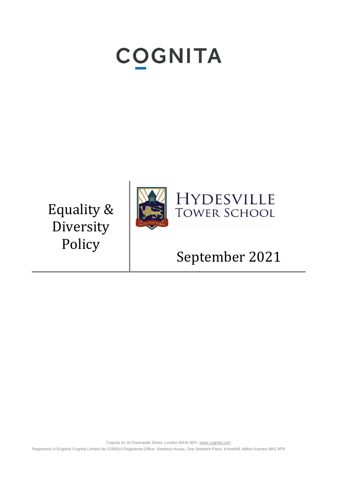# **COGNITA**

Equality & Diversity Policy



## September 2021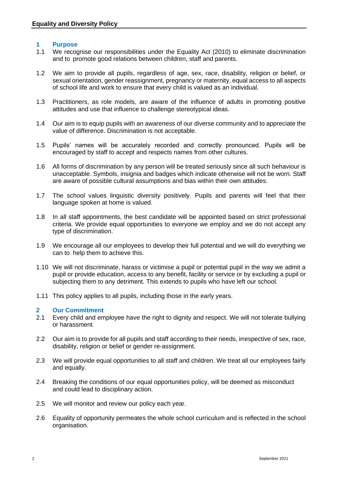### **1 Purpose**

- 1.1 We recognise our responsibilities under the Equality Act (2010) to eliminate discrimination and to promote good relations between children, staff and parents.
- 1.2 We aim to provide all pupils, regardless of age, sex, race, disability, religion or belief, or sexual orientation, gender reassignment, pregnancy or maternity, equal access to all aspects of school life and work to ensure that every child is valued as an individual.
- 1.3 Practitioners, as role models, are aware of the influence of adults in promoting positive attitudes and use that influence to challenge stereotypical ideas.
- 1.4 Our aim is to equip pupils with an awareness of our diverse community and to appreciate the value of difference. Discrimination is not acceptable.
- 1.5 Pupils' names will be accurately recorded and correctly pronounced. Pupils will be encouraged by staff to accept and respects names from other cultures.
- 1.6 All forms of discrimination by any person will be treated seriously since all such behaviour is unacceptable. Symbols, insignia and badges which indicate otherwise will not be worn. Staff are aware of possible cultural assumptions and bias within their own attitudes.
- 1.7 The school values linguistic diversity positively. Pupils and parents will feel that their language spoken at home is valued.
- 1.8 In all staff appointments, the best candidate will be appointed based on strict professional criteria. We provide equal opportunities to everyone we employ and we do not accept any type of discrimination.
- 1.9 We encourage all our employees to develop their full potential and we will do everything we can to help them to achieve this.
- 1.10 We will not discriminate, harass or victimise a pupil or potential pupil in the way we admit a pupil or provide education, access to any benefit, facility or service or by excluding a pupil or subjecting them to any detriment. This extends to pupils who have left our school.
- 1.11 This policy applies to all pupils, including those in the early years.

### **2 Our Commitment**

- 2.1 Every child and employee have the right to dignity and respect. We will not tolerate bullying or harassment.
- 2.2 Our aim is to provide for all pupils and staff according to their needs, irrespective of sex, race, disability, religion or belief or gender re-assignment.
- 2.3 We will provide equal opportunities to all staff and children. We treat all our employees fairly and equally.
- 2.4 Breaking the conditions of our equal opportunities policy, will be deemed as misconduct and could lead to disciplinary action.
- 2.5 We will monitor and review our policy each year.
- 2.6 Equality of opportunity permeates the whole school curriculum and is reflected in the school organisation.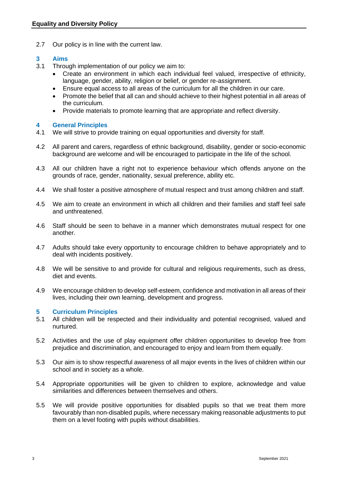2.7 Our policy is in line with the current law.

### **3 Aims**

- Through implementation of our policy we aim to:
	- Create an environment in which each individual feel valued, irrespective of ethnicity, language, gender, ability, religion or belief, or gender re-assignment.
	- Ensure equal access to all areas of the curriculum for all the children in our care.
	- Promote the belief that all can and should achieve to their highest potential in all areas of the curriculum.
	- Provide materials to promote learning that are appropriate and reflect diversity.

### **4 General Principles**

- 4.1 We will strive to provide training on equal opportunities and diversity for staff.
- 4.2 All parent and carers, regardless of ethnic background, disability, gender or socio-economic background are welcome and will be encouraged to participate in the life of the school.
- 4.3 All our children have a right not to experience behaviour which offends anyone on the grounds of race, gender, nationality, sexual preference, ability etc.
- 4.4 We shall foster a positive atmosphere of mutual respect and trust among children and staff.
- 4.5 We aim to create an environment in which all children and their families and staff feel safe and unthreatened.
- 4.6 Staff should be seen to behave in a manner which demonstrates mutual respect for one another.
- 4.7 Adults should take every opportunity to encourage children to behave appropriately and to deal with incidents positively.
- 4.8 We will be sensitive to and provide for cultural and religious requirements, such as dress, diet and events.
- 4.9 We encourage children to develop self-esteem, confidence and motivation in all areas of their lives, including their own learning, development and progress.

### **5 Curriculum Principles**

- 5.1 All children will be respected and their individuality and potential recognised, valued and nurtured.
- 5.2 Activities and the use of play equipment offer children opportunities to develop free from prejudice and discrimination, and encouraged to enjoy and learn from them equally.
- 5.3 Our aim is to show respectful awareness of all major events in the lives of children within our school and in society as a whole.
- 5.4 Appropriate opportunities will be given to children to explore, acknowledge and value similarities and differences between themselves and others.
- 5.5 We will provide positive opportunities for disabled pupils so that we treat them more favourably than non-disabled pupils, where necessary making reasonable adjustments to put them on a level footing with pupils without disabilities.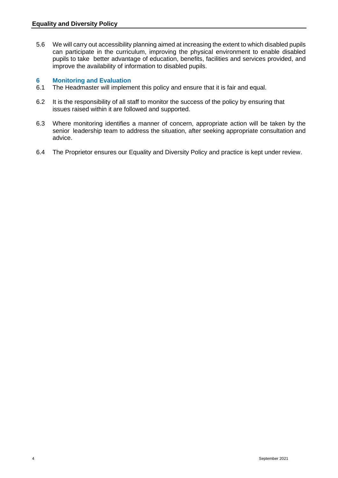5.6 We will carry out accessibility planning aimed at increasing the extent to which disabled pupils can participate in the curriculum, improving the physical environment to enable disabled pupils to take better advantage of education, benefits, facilities and services provided, and improve the availability of information to disabled pupils.

### **6 Monitoring and Evaluation**

- 6.1 The Headmaster will implement this policy and ensure that it is fair and equal.
- 6.2 It is the responsibility of all staff to monitor the success of the policy by ensuring that issues raised within it are followed and supported.
- 6.3 Where monitoring identifies a manner of concern, appropriate action will be taken by the senior leadership team to address the situation, after seeking appropriate consultation and advice.
- 6.4 The Proprietor ensures our Equality and Diversity Policy and practice is kept under review.